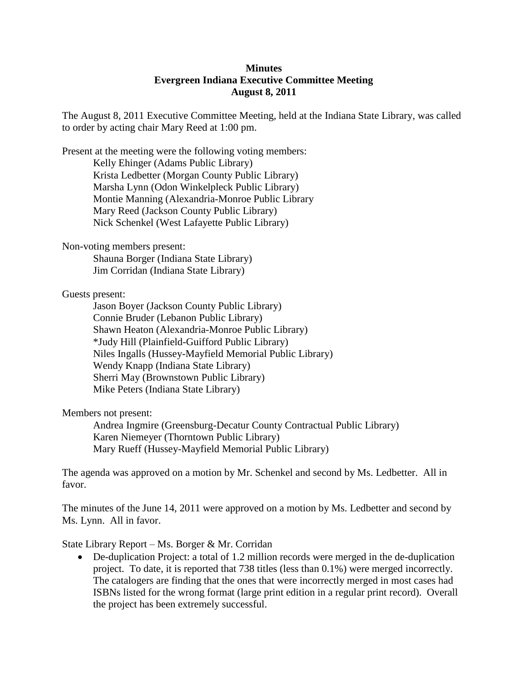## **Minutes Evergreen Indiana Executive Committee Meeting August 8, 2011**

The August 8, 2011 Executive Committee Meeting, held at the Indiana State Library, was called to order by acting chair Mary Reed at 1:00 pm.

Present at the meeting were the following voting members: Kelly Ehinger (Adams Public Library) Krista Ledbetter (Morgan County Public Library) Marsha Lynn (Odon Winkelpleck Public Library) Montie Manning (Alexandria-Monroe Public Library Mary Reed (Jackson County Public Library) Nick Schenkel (West Lafayette Public Library)

Non-voting members present:

Shauna Borger (Indiana State Library) Jim Corridan (Indiana State Library)

Guests present:

Jason Boyer (Jackson County Public Library) Connie Bruder (Lebanon Public Library) Shawn Heaton (Alexandria-Monroe Public Library) \*Judy Hill (Plainfield-Guifford Public Library) Niles Ingalls (Hussey-Mayfield Memorial Public Library) Wendy Knapp (Indiana State Library) Sherri May (Brownstown Public Library) Mike Peters (Indiana State Library)

Members not present:

Andrea Ingmire (Greensburg-Decatur County Contractual Public Library) Karen Niemeyer (Thorntown Public Library) Mary Rueff (Hussey-Mayfield Memorial Public Library)

The agenda was approved on a motion by Mr. Schenkel and second by Ms. Ledbetter. All in favor.

The minutes of the June 14, 2011 were approved on a motion by Ms. Ledbetter and second by Ms. Lynn. All in favor.

State Library Report – Ms. Borger & Mr. Corridan

• De-duplication Project: a total of 1.2 million records were merged in the de-duplication project. To date, it is reported that 738 titles (less than 0.1%) were merged incorrectly. The catalogers are finding that the ones that were incorrectly merged in most cases had ISBNs listed for the wrong format (large print edition in a regular print record). Overall the project has been extremely successful.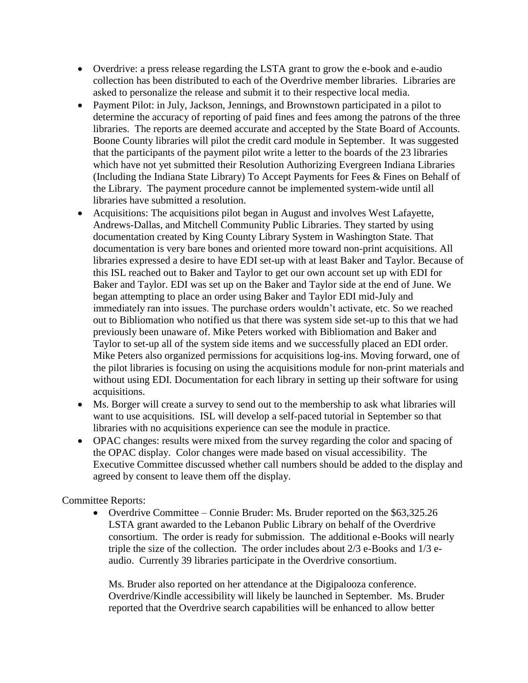- Overdrive: a press release regarding the LSTA grant to grow the e-book and e-audio collection has been distributed to each of the Overdrive member libraries. Libraries are asked to personalize the release and submit it to their respective local media.
- Payment Pilot: in July, Jackson, Jennings, and Brownstown participated in a pilot to determine the accuracy of reporting of paid fines and fees among the patrons of the three libraries. The reports are deemed accurate and accepted by the State Board of Accounts. Boone County libraries will pilot the credit card module in September. It was suggested that the participants of the payment pilot write a letter to the boards of the 23 libraries which have not yet submitted their Resolution Authorizing Evergreen Indiana Libraries (Including the Indiana State Library) To Accept Payments for Fees & Fines on Behalf of the Library. The payment procedure cannot be implemented system-wide until all libraries have submitted a resolution.
- Acquisitions: The acquisitions pilot began in August and involves West Lafayette, Andrews-Dallas, and Mitchell Community Public Libraries. They started by using documentation created by King County Library System in Washington State. That documentation is very bare bones and oriented more toward non-print acquisitions. All libraries expressed a desire to have EDI set-up with at least Baker and Taylor. Because of this ISL reached out to Baker and Taylor to get our own account set up with EDI for Baker and Taylor. EDI was set up on the Baker and Taylor side at the end of June. We began attempting to place an order using Baker and Taylor EDI mid-July and immediately ran into issues. The purchase orders wouldn't activate, etc. So we reached out to Bibliomation who notified us that there was system side set-up to this that we had previously been unaware of. Mike Peters worked with Bibliomation and Baker and Taylor to set-up all of the system side items and we successfully placed an EDI order. Mike Peters also organized permissions for acquisitions log-ins. Moving forward, one of the pilot libraries is focusing on using the acquisitions module for non-print materials and without using EDI. Documentation for each library in setting up their software for using acquisitions.
- Ms. Borger will create a survey to send out to the membership to ask what libraries will want to use acquisitions. ISL will develop a self-paced tutorial in September so that libraries with no acquisitions experience can see the module in practice.
- OPAC changes: results were mixed from the survey regarding the color and spacing of the OPAC display. Color changes were made based on visual accessibility. The Executive Committee discussed whether call numbers should be added to the display and agreed by consent to leave them off the display.

## Committee Reports:

 Overdrive Committee – Connie Bruder: Ms. Bruder reported on the \$63,325.26 LSTA grant awarded to the Lebanon Public Library on behalf of the Overdrive consortium. The order is ready for submission. The additional e-Books will nearly triple the size of the collection. The order includes about 2/3 e-Books and 1/3 eaudio. Currently 39 libraries participate in the Overdrive consortium.

Ms. Bruder also reported on her attendance at the Digipalooza conference. Overdrive/Kindle accessibility will likely be launched in September. Ms. Bruder reported that the Overdrive search capabilities will be enhanced to allow better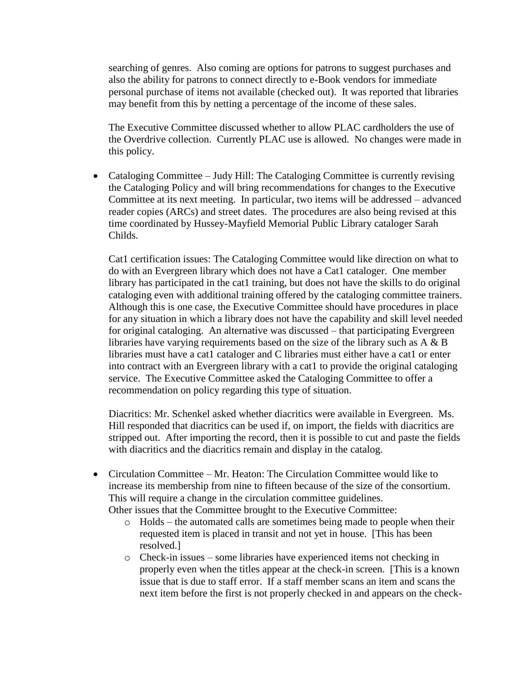searching of genres. Also coming are options for patrons to suggest purchases and also the ability for patrons to connect directly to e-Book vendors for immediate personal purchase of items not available (checked out). It was reported that libraries may benefit from this by netting a percentage of the income of these sales.

The Executive Committee discussed whether to allow PLAC cardholders the use of the Overdrive collection. Currently PLAC use is allowed. No changes were made in this policy.

• Cataloging Committee – Judy Hill: The Cataloging Committee is currently revising the Cataloging Policy and will bring recommendations for changes to the Executive Committee at its next meeting. In particular, two items will be addressed – advanced reader copies (ARCs) and street dates. The procedures are also being revised at this time coordinated by Hussey-Mayfield Memorial Public Library cataloger Sarah Childs.

Cat1 certification issues: The Cataloging Committee would like direction on what to do with an Evergreen library which does not have a Cat1 cataloger. One member library has participated in the cat1 training, but does not have the skills to do original cataloging even with additional training offered by the cataloging committee trainers. Although this is one case, the Executive Committee should have procedures in place for any situation in which a library does not have the capability and skill level needed for original cataloging. An alternative was discussed – that participating Evergreen libraries have varying requirements based on the size of the library such as A & B libraries must have a cat1 cataloger and C libraries must either have a cat1 or enter into contract with an Evergreen library with a cat1 to provide the original cataloging service. The Executive Committee asked the Cataloging Committee to offer a recommendation on policy regarding this type of situation.

Diacritics: Mr. Schenkel asked whether diacritics were available in Evergreen. Ms. Hill responded that diacritics can be used if, on import, the fields with diacritics are stripped out. After importing the record, then it is possible to cut and paste the fields with diacritics and the diacritics remain and display in the catalog.

- Circulation Committee Mr. Heaton: The Circulation Committee would like to increase its membership from nine to fifteen because of the size of the consortium. This will require a change in the circulation committee guidelines. Other issues that the Committee brought to the Executive Committee:
	- o Holds the automated calls are sometimes being made to people when their requested item is placed in transit and not yet in house. [This has been resolved.]
	- o Check-in issues some libraries have experienced items not checking in properly even when the titles appear at the check-in screen. [This is a known issue that is due to staff error. If a staff member scans an item and scans the next item before the first is not properly checked in and appears on the check-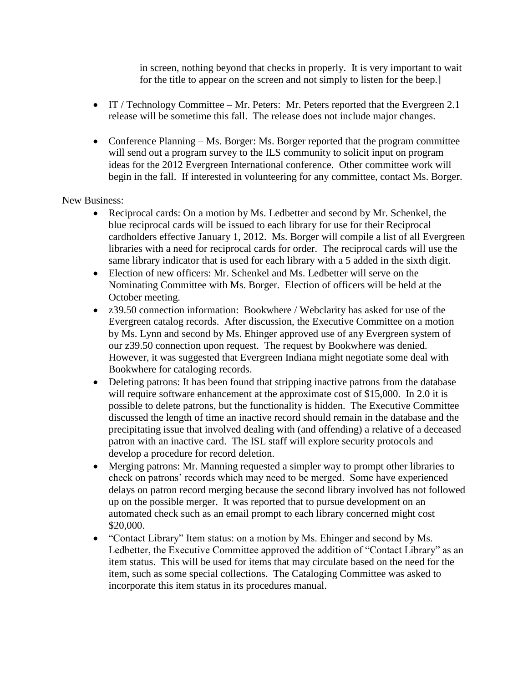in screen, nothing beyond that checks in properly. It is very important to wait for the title to appear on the screen and not simply to listen for the beep.]

- IT / Technology Committee Mr. Peters: Mr. Peters reported that the Evergreen 2.1 release will be sometime this fall. The release does not include major changes.
- Conference Planning Ms. Borger: Ms. Borger reported that the program committee will send out a program survey to the ILS community to solicit input on program ideas for the 2012 Evergreen International conference. Other committee work will begin in the fall. If interested in volunteering for any committee, contact Ms. Borger.

New Business:

- Reciprocal cards: On a motion by Ms. Ledbetter and second by Mr. Schenkel, the blue reciprocal cards will be issued to each library for use for their Reciprocal cardholders effective January 1, 2012. Ms. Borger will compile a list of all Evergreen libraries with a need for reciprocal cards for order. The reciprocal cards will use the same library indicator that is used for each library with a 5 added in the sixth digit.
- Election of new officers: Mr. Schenkel and Ms. Ledbetter will serve on the Nominating Committee with Ms. Borger. Election of officers will be held at the October meeting.
- z39.50 connection information: Bookwhere / Webclarity has asked for use of the Evergreen catalog records. After discussion, the Executive Committee on a motion by Ms. Lynn and second by Ms. Ehinger approved use of any Evergreen system of our z39.50 connection upon request. The request by Bookwhere was denied. However, it was suggested that Evergreen Indiana might negotiate some deal with Bookwhere for cataloging records.
- Deleting patrons: It has been found that stripping inactive patrons from the database will require software enhancement at the approximate cost of \$15,000. In 2.0 it is possible to delete patrons, but the functionality is hidden. The Executive Committee discussed the length of time an inactive record should remain in the database and the precipitating issue that involved dealing with (and offending) a relative of a deceased patron with an inactive card. The ISL staff will explore security protocols and develop a procedure for record deletion.
- Merging patrons: Mr. Manning requested a simpler way to prompt other libraries to check on patrons' records which may need to be merged. Some have experienced delays on patron record merging because the second library involved has not followed up on the possible merger. It was reported that to pursue development on an automated check such as an email prompt to each library concerned might cost \$20,000.
- "Contact Library" Item status: on a motion by Ms. Ehinger and second by Ms. Ledbetter, the Executive Committee approved the addition of "Contact Library" as an item status. This will be used for items that may circulate based on the need for the item, such as some special collections. The Cataloging Committee was asked to incorporate this item status in its procedures manual.